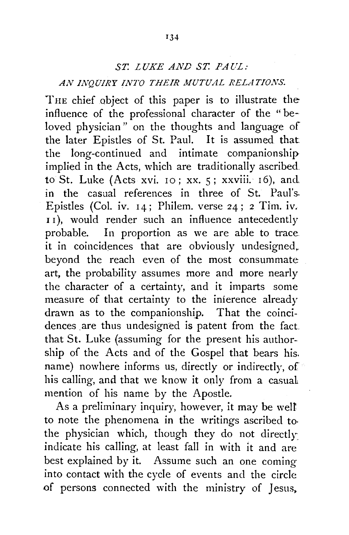## *ST. LUKE AND ST. PAUL:*

## *AN ll\!QUIRY INTO THEIR MUTUAL RELATIONS.*

THE chief object of this paper is to illustrate the influence of the professional character of the "beloved physician" on the thoughts and language of the later Epistles of St. Paul. It is assumed that the long-continued and intimate companionship implied in the Acts, which are traditionally ascribed. to St. Luke (Acts xvi. 10; xx.  $5$ ; xxviii. 16), and in the casual references in three of St. Paul's. Epistles (Col. iv. 14; Philem. verse 24; 2 Tim. iv. I I), would render such an influence antecedently probable. In proportion as we are able to trace it in coincidences that are obviously undesigned,. beyond the reach even of the most consummate art, the probability assumes more and more nearly the character of a certainty, and it imparts some measure of that certainty to the inference already drawn as to the companionship. That the coincidences are thus undesigned is patent from the fact. that St. Luke (assuming for the present his authorship of the Acts and of the Gospel that bears his. name) nowhere informs us, directly or indirectly, of his calling, and that we know it only from a casual mention of his name by the Apostle.

As a preliminary inquiry, however, it may be well to note the phenomena in the writings ascribed to· the physician which, though they do not directly indicate his calling, at least fall in with it and are best explained by it. Assume such an one coming into contact with the cycle of events and the circle of persons connected with the ministry of Jesus.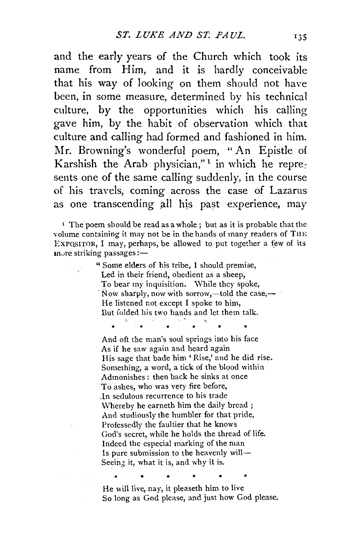and the early years of the Church which took its name from Him, and it is hardly conceivable that his way of looking on them should not have been, in some measure, determined by his technical culture, by the opportunities which his calling gave him, by the habit of observation which that culture and calling had formed and fashioned in him. Mr. Browning's wonderful poem, "An Epistle of Karshish the Arab physician,"<sup>1</sup> in which he represents one of the same calling suddenly, in the course of his travels, coming across the case of Lazarus as one transcending all his past experience, may

<sup>1</sup> The poem should be read as a whole; but as it is probable that the volume containing it may not be in the hands of many readers of THE ExPQSITOR, I may, perhaps, be allowed to put together a few of its more striking passages:-

> '1 Some elders of his tribe, I should premise, Led in their friend, obedient as a sheep, To bear my inquisition. \Vhile they spoke, Now sharply, now with sorrow,—told the case,— He listened not except I spoke to him, But folded his two hands and let them talk.

And oft the man's soul springs into his face As if he saw again and heard again His sage that bade him 'Rise,' and he did rise. Something, a word, a tick of the blood within Admonishes : then back he sinks at once ·To ashes, who was very fire before, ,In sedulous recurrence to his trade Whereby he earneth him the daily bread ; And studiously the humbler for that pride, Professedly the faultier that he knows God's secret, while he holds the thread of life. Indeed the especial marking of the man Is pure submission to the heavenly will-Seeing it, what it is, and why it is.

\* \* He will live, nay, it pleaseth him to live So long as God please, and just how God please.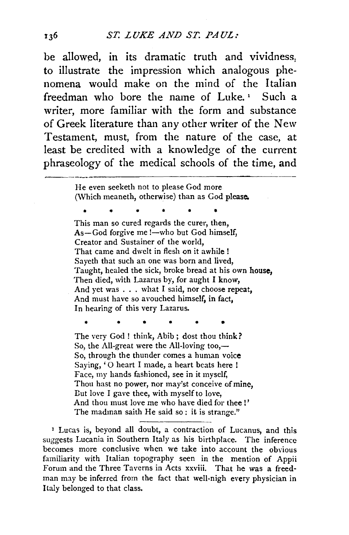be allowed, in its dramatic truth and vividness, to illustrate the impression which analogous phenomena would make on the mind of the Italian freedman who bore the name of Luke. ' Such a writer, more familiar with the form and substance of Greek literature than any other writer of the New Testament, must, from the nature of the case, at least be credited with a knowledge of the current phraseology of the medical schools of the time, and<br>
He even seeketh not to please God more

(Which meaneth, otherwise) than as God please.

• • • • • • This man so cured regards the curer, then,  $As-God$  forgive me  $1$ —who but God himself, Creator and Sustainer of the world, That came and dwelt in flesh on it awhile! Sayeth that such an one was born and lived, Taught, healed the sick, broke bread at his own house, Then died, with Lazarus by, for aught I know, And yet was ... what I said, nor choose repeat, And must have so avouched himself, in fact, In hearing of this very Lazarus.

The very God ! think, Abib; dost thou think? So, the All-great were the All-loving too, $-$ So, through the thunder comes a human voice Saying, '0 heart I made, a heart beats here ! Face, my hands fashioned, see in it myself, Thou hast no power, nor may'st conceive of mine, Eut love I gave thee, with myself to love, And thou must love me who have died for thee!' The madman saith He said so: it is strange."

1 Lucas is, beyond all doubt, a contraction of Lucanus, and this suggests Lucania in Southern Italy as his birthplace. The inference becomes more conclusive when we take into account the obvious familiarity with Italian topography seen in the mention of Appii Forum and the Three Taverns in Acts xxviii. That he was a freedman may be inferred from the fact that well-nigh every physician in Italy belonged to that class.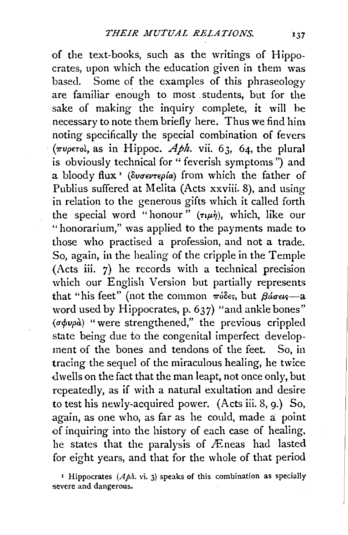of the text-books, such as the writings of Hippocrates, upon which the education given in them was based. Some of the examples of this phraseology are familiar enough to most students, but for the sake of making the inquiry complete, it will be necessary to note them briefly here. Thus we find him noting specifically the special combination of fevers  $(\pi \nu \rho \epsilon \tau o)$ , as in Hippoc. *Aph.* vii. 63, 64, the plural is obviously technical for " feverish symptoms") and a bloody flux<sup>1</sup> (dvoevrepla) from which the father of Publius suffered at Melita (Acts xxviii. 8), and using in relation to the generous gifts which it called forth the special word "honour"  $(\tau \psi)$ , which, like our "honorarium," was applied to the payments made to those who practised a profession, and not a trade. So, again, in the healing of the cripple in the Temple (Acts iii. 7) he records with a technical precision which our English Version but partially represents that "his feet" (not the common  $\pi\delta\delta\epsilon$ , but  $\beta\acute{a}\sigma\epsilon\epsilon$ -a word used by Hippocrates, p. 637) "and ankle bones" *{crcpvpa)* "were strengthened," the previous crippled state being due to the congenital imperfect development of the bones and tendons of the feet. So, in tracing the sequel of the miraculous healing, he twice dwells on the fact that the man leapt, not once only, but repeatedly, as if with a natural exultation and desire to test his newly-acquired power. (Acts iii. 8, 9.) So, again, as one who, as far as he could, made a point of inquiring into the history of each case of healing, he states that the paralysis of Æneas had lasted for eight years, and that for the whole of that period

<sup>1</sup> Hippocrates ( $Aph$ . vi. 3) speaks of this combination as specially severe and dangerous.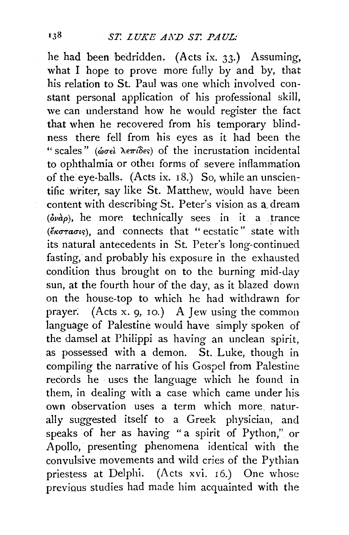he had been bedridden. (Acts ix. 33.) Assuming, what I hope to prove more fully by and by, that his relation to St. Paul was one which involved constant personal application of his professional skill, we can understand how he would register the fact that when he recovered from his temporary blindness there fell from his eyes as it had been the " scales" *(ωσελ λεπίδες)* of the incrustation incidental to ophthalmia or othet forms of severe inflammation of the eye-balls. (Acts ix. 18.) So, while an unscientific writer, say like St. Matthew, would have been content with describing St. Peter's vision as a, dream  $(\delta\nu a\rho)$ , he more technically sees in it a trance  $(*\sigma\tau\alpha\sigma\iota\varsigma)$ , and connects that " ecstatic" state with its natural antecedents in St. Peter's long-continued fasting, and probably his exposure in the exhausted condition thus brought on to the burning mid-day sun, at the fourth hour of the day, as it blazed down on the house-top to which he had withdrawn for prayer: (Acts x. 9, ro.) A Jew using the common language of Palestine would have simply spoken of the damsel at Philippi as having an unclean spirit, as possessed with a demon. St. Luke, though in compiling the narrative of his Gospel from Palestine records he uses the language which he found in them, in dealing with a case which came under his own observation uses a term which more. naturally suggested itself to a Greek physician, and speaks of her as having " a spirit of Python," or Apollo, presenting phenomena identical with the convulsive movements and wild cries of the Pythian priestess at Delphi. (Acts xvi. 16.) One whose previaus studies had made him acquainted with the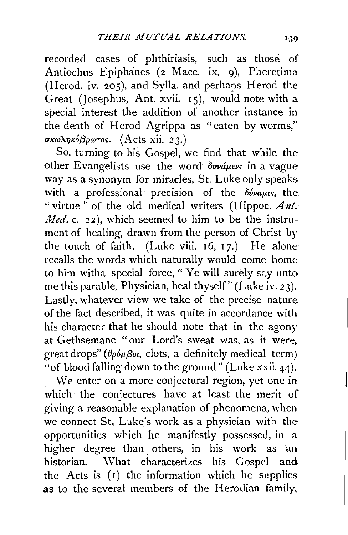recorded cases of phthiriasis, such as those of Antiochus Epiphanes (2 Mace. ix. 9), Pheretima (Herod. iv.  $205$ ), and Sylla, and perhaps Herod the Great (Josephus, Ant. xvii. Is), would note with a special interest the addition of another instance in the death of Herod Agrippa as "eaten by worms,"  $\sigma$ κωληκόβρωτος. (Acts xii. 23.)

So, turning to his Gospel, we find that while the other Evangelists use the word  $\delta$ vvá $\mu$ eus in a vague way as a synonym for miracles, St. Luke only speaks with a professional precision of the  $\delta \hat{\nu}$ ualus, the "virtue" of the old medical writers (Hippoc. Ant. *Med.* c. 22), which seemed to him to be the instrument of healing, drawn from the person of Christ by the touch of faith. (Luke viii.  $16, 17$ .) He alone recalls the words which naturally would come home to him witha special force, " Ye will surely say unto me this parable, Physician, heal thyself" (Luke iv. 23). Lastly, whatever view we take of the precise nature of the fact described, it was quite in accordance with his character that he should note that in the agony at Gethsemane " our Lord's sweat was, as it were, great drops" ( $\theta \phi \phi \beta \omega$ , clots, a definitely medical term) "of blood falling down to the ground" (Luke xxii. 44).

We enter on a more conjectural region, yet one in which the conjectures have at least the merit of giving a reasonable explanation of phenomena, when we connect St. Luke's work as a physician with the opportunities which he manifestly possessed, in a higher degree than others, in his work as an historian. What characterizes his Gospel and the Acts is  $(1)$  the information which he supplies as to the several members of the Herodian family,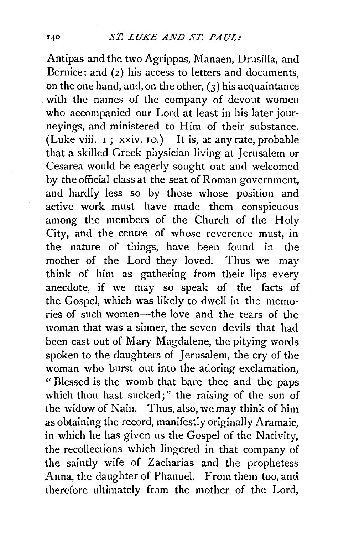## qo *ST. LUKE AND ST. PAUL:*

Antipas and the two Agrippas, Manaen, Drusilla, and Bernice; and (2) his access to letters and documents, on the one hand, and, on the other,  $(3)$  his acquaintance with the names of the company of devout women who accompanied our Lord at least in his later journeyings, and ministered to Him of their substance. (Luke viii.  $I$ ; xxiv.  $IO$ .) It is, at any rate, probable that a skilled Greek physician living at Jerusalem or Cesarea would be eagerly sought out and welcomed by the official class at the seat of Roman government, and hardly less so by those whose position and active work must have made them conspicuous among the members of the Church of the Holy City, and the centre of whose reverence must, in the nature of things, have been found in the mother of the Lord they loved. Thus we may think of him as gathering from their lips every anecdote, if we may so speak of the facts of the Gospel, which was likely to dwell in the memories of such women-the love and the tears of the woman that was a sinner, the seven devils that had been cast out of Mary Magdalene, the pitying words spoken to the daughters of Jerusalem, the cry of the woman who burst out into the adoring exclamation, "Blessed is the womb that bare thee and the paps which thou hast sucked;" the raising of the son of the widow of Nain. Thus, also, we may think of him as obtaining the record, manifestly originally Aramaic, in which he has given us the Gospel of the Nativity, the recollections which lingered in that company of the saintly wife of Zacharias and the prophetess Anna, the daughter of Phanuel. From them too, and therefore ultimately from the mother of the Lord,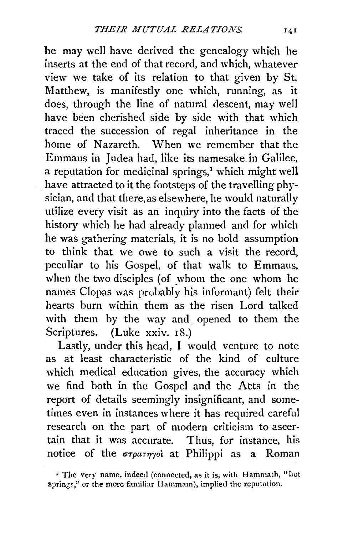he may well have derived the genealogy which he inserts at the end of that record, and which, whatever view we take of its relation to that given by St. Matthew, is manifestly one which, running, as it does, through the line of natural descent, may well have been cherished side by side with that which traced the succession of regal inheritance in the home of Nazareth. When we remember that the Emmaus in Judea had, like its namesakein Galilee, a reputation for medicinal springs, $<sup>1</sup>$  which might well</sup> have attracted to it the footsteps of the travelling physician, and that there, as elsewhere, he would naturally utilize every visit as an inquiry into the facts of the history which he had already planned and for which he was gathering materials, it is no bold assumption to think that we owe to such a visit the record, peculiar to his Gospel, of that walk to Emmaus, when the two disciples (of whom the one whom he names Clopas was probably his informant) felt their hearts burn within them as the risen Lord talked with them by the way and opened to them the Scriptures. (Luke xxiv. 18.)

Lastly, under this head, I would venture to note as at least characteristic of the kind of culture which medical education gives, the accuracy which we find both in the Gospel and the Atts in the report of details seemingly insignificant, and sometimes even in instances where it has required careful research on the part of modern criticism to ascertain that it was accurate. Thus, for instance, his notice of the  $\sigma_T \rho \sigma_T \gamma_0$  at Philippi as a Roman

<sup>•</sup> The very name, indeed (connected, as it is, with Hammath, "hot springs," or the more familiar Hammam), implied the reputation.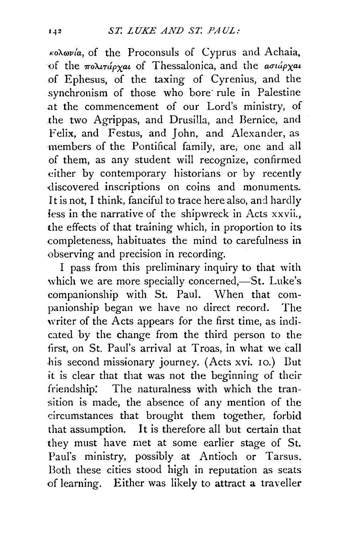*KoA.rovfa,* of the Proconsuls of Cyprus and Achaia. of the  $\pi$ o $\lambda$ rápxat of Thessalonica, and the *aσιάρχat* of Ephesus, of the taxing of Cyrenius, and the synchronism of those who bore rule in Palestine at the commencement of our Lord's ministry, of the two Agrippas, and Drusilla, and Bernice, and Felix, and Festus, and John, and Alexander, as members of the Pontifical family, are, one and all of them, as any student will recognize, confirmed either by contemporary historians or by recently discovered inscriptions on coins and monuments. It is not, I think, fanciful to trace here also, and hardly less in the narrative of the shipwreck in Acts xxvii., the effects of that training which, in proportion to its completeness, habituates the mind to carefulness in observing and precision in recording.

I pass from this preliminary inquiry to that with which we are more specially concerned,-St. Luke's companionship with St. Paul. When that companionship began we have no direct record. The writer of the Acts appears for the first time, as indicated by the change from the third person to the first, on St. Paul's arrival at Troas, in what we call .his second missionary journey. (Acts xvi. 10.) Dut it is clear that that was not the beginning of their friendship: The naturalness with which the transition is made, the absence of any mention of the circumstances that brought them together, forbid that assumption. It is therefore all but certain that they must have met at some earlier stage of St. Paul's ministry, possibly at Antioch or Tarsus. Both these cities stood high in reputation as seats of learning. Either was likely to attract a traveller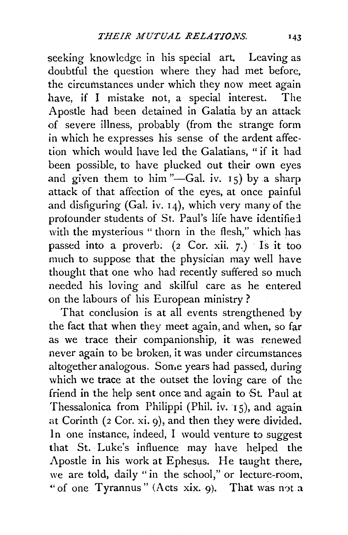seeking knowledge in his special art. Leaving as doubtful the question where they had met before, the circumstances under which they now meet again have, if I mistake not, a special interest. The Apostle had been detained in Galatia by an attack of severe illness, probably (from the strange form in which he expresses his sense of the ardent affection which would have led the Galatians, "if it had been possible, to have plucked out their own eyes and given them to him "-Gal. iv.  $15$ ) by a sharp attack of that affection of the eyes, at once painful and disfiguring (Gal. iv.  $14$ ), which very many of the profounder students of St. Paul's life have identified with the mysterious "thorn in the flesh," which has passed into a proverb; (2 Cor. xii. 7.) Is it too much to suppose that the physician may well have thought that one who had recently suffered so much needed his loving and skilful care as he entered on the labours of his European ministry ?

That conclusion is at all events strengthened by the fact that when they meet again, and when, so far as we trace their companionship, it was renewed never again to be broken, it was under circumstances altogether analogous. Some years had passed, during which we trace at the outset the loving care of the friend in the help sent once and again to ·St. Paul at Thessalonica from Philippi (Phil. iv.  $15$ ), and again at Corinth (2 Cor. xi. 9), and then they were divided. In one instance, indeed, I would venture to suggest that St. Luke's influence may have helped the Apostle in his work at Ephesus. He taught there, we are told, daily "in the school," or lecture-room, " of one Tyrannus" (Acts xix. 9). That was not a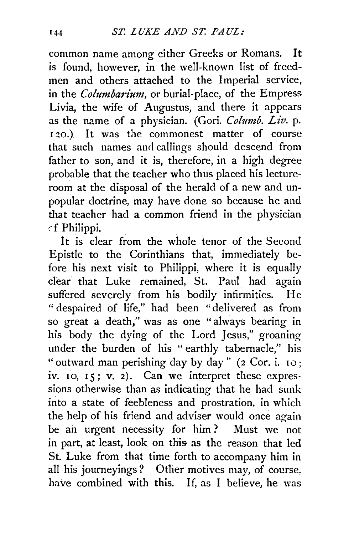common name among either Greeks or Romans. It is found, however, in the well-known list of freedmen and others attached to the Imperial service, in the *Colmnbarium,* or burial-place, of the Empress Livia, the wife of Augustus, and there it appears as the name of a physician. (Gori. *Columb. Liv.* p. 120.) It was the commonest matter of course that such names and callings should descend from father to son, and it is, therefore, in a high degree probable that the teacher who thus placed his lectureroom at the disposal of the herald of a new and unpopular doctrine, may have done so because he and that teacher had a common friend in the physician cf Philippi.

It is clear from the whole tenor of the Second Epistle to the Corinthians that, immediately before his next visit to Philippi, where it is equally clear that Luke remained, St. Paul had again suffered severely from his bodily infirmities. He " despaired of life," had been " delivered as from so great a death," was as one "always bearing in his body the dying of the Lord Jesus," groaning under the burden of his " earthly tabernacle," his " outward man perishing day by day" ( $2$  Cor. i. 10; iv.  $10, 15$ ; v. 2). Can we interpret these expressions otherwise than as indicating that he had sunk into a state of feebleness and prostration, in which the help of his friend and adviser would once again be an urgent necessity for him? Must we not in part, at least, look on this as the reason that led St. Luke from that time forth to accompany him in all his journeyings? Other motives may, of *course,*  have combined with this. If, as I believe, he was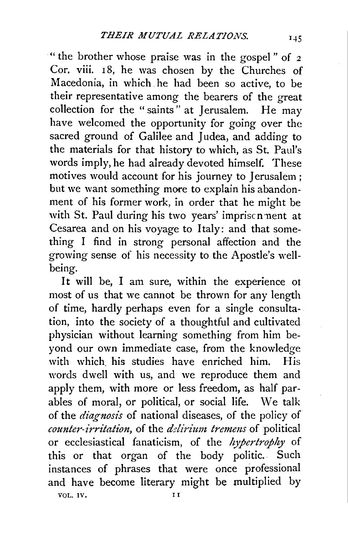·" the brother whose praise was in the gospel " of 2 Cor. viii. 18, he was chosen by the Churches of Macedonia, in which. he had been so active, to be their representative among the bearers of the great collection for the "saints" at Jerusalem. He may have welcomed the opportunity for going over the sacred ground of Galilee and Judea, and adding to the materials for that history to which, as St. Paul's words imply, he had already devoted himself. These motives would account for his journey to Jerusalem ; but we want something more to explain his abandonment of his former work, in order that he might be with St. Paul during his two years' impriscn nent at Cesarea and on his voyage to Italy: and that something I find in strong personal affection and the growing sense of his necessity to the Apostle's wellbeing.

It will be, I am sure, within the experience ot most of us that we cannot be thrown for any length of time, hardly perhaps even for a single consultation, into the society of a thoughtful and cultivated physician without learning something from him beyond our own immediate case, from the knowledge with which. his studies have enriched him. His words dwell with us, and we reproduce them and apply them, with more or less freedom, as half parables of moral, or political, or social life. We talk of the *diagnosis* of national diseases, of the policy of *counter-irritation,* of the *delirium tremens* of political or ecclesiastical fanaticism, of the *hypertrojh)'* of this or that organ of the body politic. Such instances of phrases that were once professional and have become literary might be multiplied by VOL. IV. **II**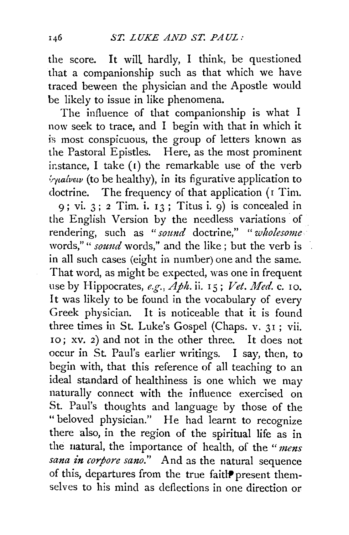the score. It will hardly, I think, be questioned that a companionship such as that which we have traced beween the physician and the Apostle would be likely to issue in like phenomena.

The influence of that companionship is what I now seek to trace, and I begin with that in which it is most conspicuous, the group of letters known as the Pastoral Epistles. Here, as the most prominent instance, I take  $(t)$  the remarkable use of the verb  $\phi$ *yialvew* (to be healthy), in its figurative application to doctrine. The frequency of that application (I Tim. 9; vi. 3; 2 Tim. i. 13; Titus i. 9) is concealed in the English Version by the needless variations of rendering, such as *"sound* doctrine," " *wholesome*  words," " *sound* words," and the like ; but the verb is in all such cases (eight in number) one and the same. That word, as might be expected, was one in frequent use by Hippocrates, *e.g., Aph.* ii. rs; *Vet. Med.* c. IO. It was likely to be found in the vocabulary of every Greek physician. It is noticeable that it is found three times in St. Luke's Gospel (Chaps. v. 31 ; vii. <sup>r</sup>o ; xv. 2) and not in the other three. It does not occur in St. Paul's earlier writings. I say, then, to begin with, that this reference of all teaching to an ideal standard of healthiness is one which we may naturally connect with the influence exercised on St. Paul's thoughts and language by those of the "beloved physician." He had learnt to recognize there also, in the region of the spiritual life as in the uatural, the importance of health, of the *"mens* 

*sana in corpore sano."* And as the natural sequence of this, departures from the true faitlP present themselves to his mind as deflections in one direction or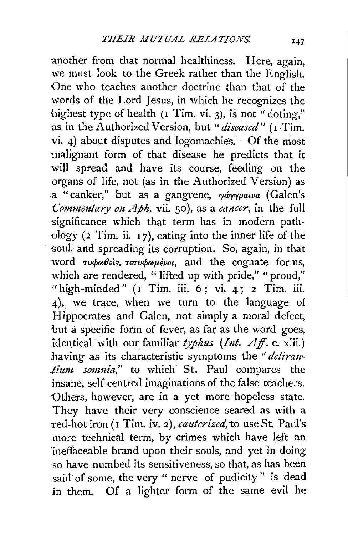another from that normal healthiness. Here, again, we must look to the Greek rather than the English. One who teaches another doctrine than that of the words of the Lord Jesus, in which he recognizes the highest type of health (I Tim. vi. 3), is not "doting," as in the Authorized Version, but *"diseased"* (I Tim. vi. 4) about disputes and logomachies. Of the most malignant form of that disease he predicts that it will spread and have its course, feeding on the organs of life, not (as in the Authorized Version) as a "canker," but as a gangrene,  $\gamma \acute{a} \gamma \gamma \rho a \nu a$  (Galen's *Commentary on Aph.* vii. 50), as a *cancer*, in the full significance which that term has in modern pathology ( $2$  Tim. ii.  $17$ ), eating into the inner life of the soul, and spreading its corruption. So, again, in that word *Tvowdels*, TeTvowuevot, and the cognate forms, which are rendered, "lifted up with pride," "proud," "high-minded" (I Tim. iii.  $6$ ; vi. 4; 2 Tim. iii. 4), we trace, when we turn to the language of Hippocrates and Galen, not simply a moral defect, but a specific form of fever, as far as the word goes, identical with our familiar typhus (Int. Aff. c. xlii.) having as its characteristic symptoms the "*delirantium somnia*," to which St. Paul compares the insane, self-centred imaginations of the false teachers. 'Others, however, are in a yet more hopeless state. They have their very conscience seared as with a red-hot iron (I Tim. iv. 2), *cauterized*, to use St. Paul's more technical term, by crimes which have left an ineffaceable brand upon their souls, and yet in doing so have numbed its sensitiveness, so that, as has been said of some, the very " nerve of pudicity " is dead in them. Of a lighter form of the same evil he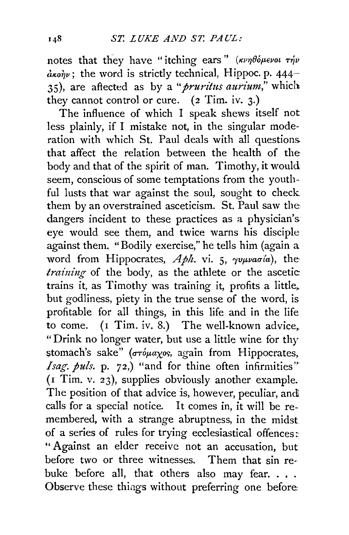notes that they have "itching ears"  $(\kappa\nu\eta\theta\delta\mu\epsilon\nu\sigma\iota\tau\eta\nu$  $d_{\kappa o \hat{\eta} \nu}$ ; the word is strictly technical, Hippoc. p. 444-35), are affected as by a *"pruritus aurium,"* which they cannot control or cure. (2 Tim. iv. 3.)

The influence of which I speak shews itself not less plainly, if I mistake not, in the singular moderation with which St. Paul deals with all questions that affect the relation between the health of the body and that of the spirit of man. Timothy, it would seem, conscious of some temptations from the youthful lusts that war against the soul, sought to check them by an overstrained asceticism. St. Paul saw the dangers incident to these practices as a physician's eye would see them, and twice warns his disciple against them. "Bodily exercise," he tells him (again a word from Hippocrates,  $Aph$ . vi. 5,  $\gamma v \mu v a \sigma a$ , the *training* of the body, as the athlete or the ascetic: trains it, as Timothy was training it, profits a little, but godliness, piety in the true sense of the word, is profitable for all things, in this life and in the life to come. ( $I$  Tim. iv. 8.) The well-known advice, " Drink no longer water, but use a little wine for thy stomach's sake" ( $\sigma\tau\phi\mu\alpha\chi$ os, again from Hippocrates, *Isag. puls.* p. 72,) "and for thine often infirmities" (I Tim. v. 23), supplies obviously another example. The position of that advice is, however, peculiar, and calls for a special notice. It comes in, it will be remembered, with a strange abruptness, in the midst of a series of rules for trying ecclesiastical offences: " Against an elder receive not an accusation, but before two or three witnesses. Them that sin rebuke before all, that others also may fear.... Observe these things without preferring one before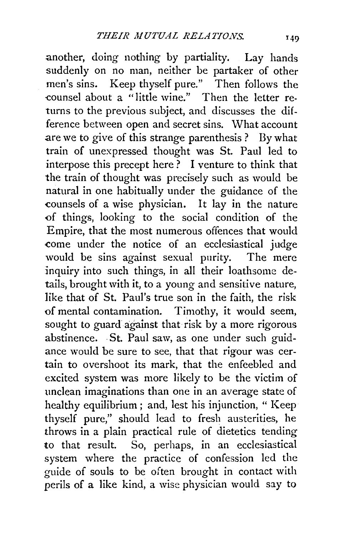another, doing nothing by partiality. Lay hands suddenly on no man, neither be partaker of other men's sins. Keep thyself pure." Then follows the -counsel about a "little wine." Then the letter returns to the previous subject, and discusses the difference between open and secret sins. What account are we to give of this strange parenthesis? By what train of unexpressed thought was St. Paul led to interpose this precept here? I venture to think that the train of thought was precisely such as would be natural in one habitually under the guidance of the -counsels of a wise physician. It lay in the nature <>f things, looking to the social condition of the Empire, that the most numerous offences that would come under the notice of an ecclesiastical judge would be sins against sexual purity. The mere inquiry into such things, in all their loathsome details, brought with it, to a young and sensitive nature, like that of St. Paul's true son in the faith, the risk of mental contamination. Timothy, it would seem, sought to guard against that risk by a more rigorous abstinence. St. Paul saw, as one under such guidance would be sure to see, that that rigour was certain to overshoot its mark, that the enfeebled and excited system was more likely to be the victim of unclean imaginations than one in an average state of healthy equilibrium; and, lest his injunction, " Keep thyself pure," should lead to fresh austerities, he throws in a plain practical rule of dietetics tending to that result. So, perhaps, in an ecclesiastical system where the practice of confession led the guide of souls to be often brought in contact with perils of a like kind, a wise physician would say to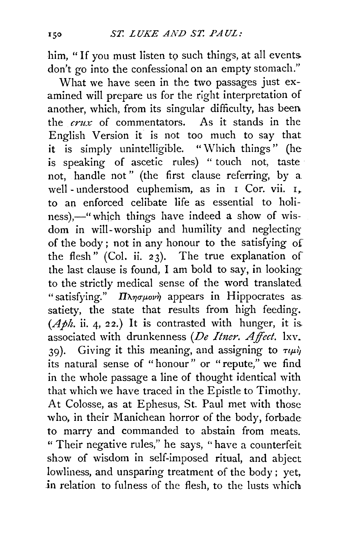him, "If you must listen to such things, at all events. don't go into the confessional on an empty stomach."

What we have seen in the two passages just examined will prepare us for the right interpretation of another, which, from its singular difficulty, has been the *crux* of commentators. As it stands in the English Version it is not too much to say that **it** is simply unintelligible. "Which things" (he is speaking of ascetic rules) " touch not, taste not, handle not" (the first clause referring, by a. well - understood euphemism, as in  $I$  Cor. vii.  $I_+$ to an enforced celibate life as essential to holiness),—" which things have indeed a show of wisdom in will-worship and humility and neglecting of the body ; not in any honour to the satisfying of the flesh" (Col. ii. 23). The true explanation of the last clause is found, I am bold to say, in looking to the strictly medical sense of the word translated "satisfying."  $\Pi\lambda\eta\sigma\mu\sigma\nu\eta$  appears in Hippocrates as satiety, the state that results from high feeding.  $(Aph.$  ii. 4, 22.) It is contrasted with hunger, it is. associated with drunkenness (De Itner. Affect. lxv. 39). Giving it this meaning, and assigning to  $\tau \mu \dot{\nu}$ its natural sense of "honour" or "repute," we find in the whole passage a line of thought identical with that which we have traced in the Epistle to Timothy. At Colosse, as at Ephesus, St. Paul met with those who, in their Manichean horror of the body, forbade to marry and commanded to abstain from meats. " Their negative rules," he says, "have a counterfeit show of wisdom in self-imposed ritual, and abject lowliness, and unsparing treatment of the body; yet, **in** relation to fulness of the flesh, to the lusts which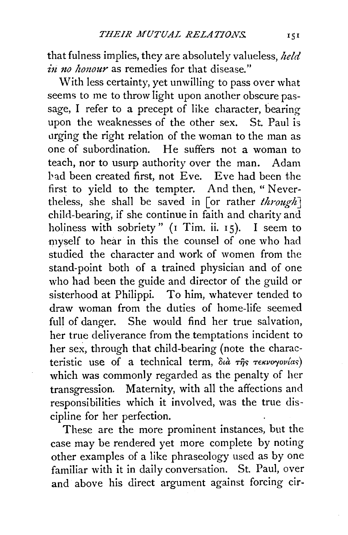that fulness implies, they are absolutely valueless, *held in no honour* as remedies for that disease."

With less certainty, yet unwilling to pass over what seems to me to throw light upon another obscure passage, I refer to a precept of like character, bearing upon the weaknesses of the other sex. St. Paul is urging the right relation of the woman to the man as one of subordination. He suffers not a woman to teach, nor to usurp authority over the man. Adam bad been created first, not Eve. Eve had been the first to yield to the tempter. And then, " Nevertheless, she shall be saved in [or rather *through]*  child-bearing, if she continue in faith and charity and holiness with sobriety" ( $I$  Tim. ii.  $15$ ). I seem to myself to hear in this the counsel of one who had studied the character and work of women from the stand-point both of a trained physician and of one who had been the guide and director of the guild or sisterhood at Philippi. To him, whatever tended to draw woman from the duties of home-life seemed full of danger. She would find her true salvation, her true deliverance from the temptations incident to her sex, through that child-bearing (note the characteristic use of a technical term, διà της *τεκνογονίας*) which was commonly regarded as the penalty of her transgression. Maternity, with all the affections and responsibilities which it involved, was the true discipline for her perfection.

These are the more prominent instances, but the case may be rendered yet more complete by noting other examples of a like phraseology used as by one familiar with it in daily conversation. St. Paul, over and above his direct argument against forcing cir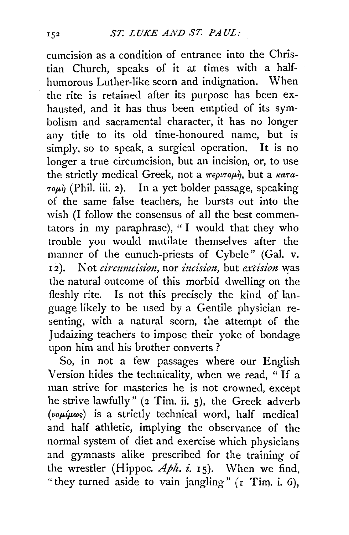cumcision as a condition of entrance into the Christian Church, speaks of it at times with a halfhumorous Luther-like scorn and indignation. When the rite is retained after its purpose has been exhausted, and it has thus been emptied of its symbolism and sacramental character, it has no longer any title to its old time-honoured name, but is simply, so to speak, a surgical operation. It is no longer a true circumcision, but an incision, or, to use the strictly medical Greek, not a  $\pi\epsilon\rho\iota\tau o\mu\dot{n}$ , but a  $\kappa a\tau a$ - $\tau o\mu\dot{\gamma}$  (Phil. iii. 2). In a yet bolder passage, speaking of the same false teachers, he bursts out into the wish (I follow the consensus of all the best commentators in my paraphrase), "I would that they who trouble you would mutilate themselves after the manner of the eunuch-priests of Cybele" (Gal. v. 12). Not *circumcision*, nor *incision*, but *excision* was the natural outcome of this morbid dwelling on the fleshly rite. Is not this precisely the kind of language likely to be used by a Gentile physician resenting, with a natural scorn, the attempt of the Judaizing teachers to impose their yoke of bondage upon him and his brother converts ?

So, in not a few passages where our English Version hides the technicality, when we read, " If <sup>a</sup> man strive for masteries he is not crowned, except he strive lawfully" (2 Tim. ii. 5), the Greek adverb ( $\nu_0$  $\mu$  $\mu$ ως) is a strictly technical word, half medical and half athletic, implying the observance of the normal system of diet and exercise which physicians and gymnasts alike prescribed for the training of the wrestler (Hippoc.  $Aph. i. 15$ ). When we find, ''they turned aside to vain jangling" *(* r Tirn. i. 6),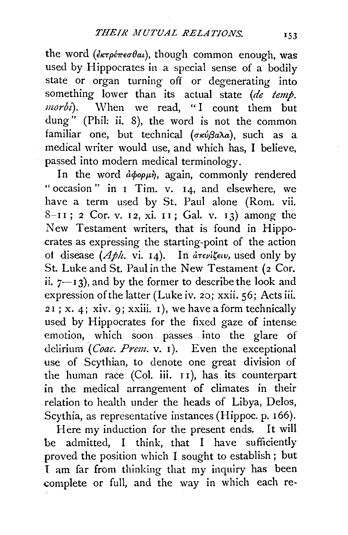the word  $(\epsilon_{\kappa} \tau_{\rho} \epsilon_{\pi} \epsilon_{\sigma} \theta_{\alpha} a)$ , though common enough, was used by Hippocrates in a special sense of a bodily state or organ turning off or degenerating into something lower than its actual state (de temp. morbi). When we read, "I count them but dung<sup>"</sup> (Phil: ii. 8), the word is not the common familiar one, but technical ( $\sigma \kappa \omega \beta a \lambda a$ ), such as a medical writer would use, and which has, I believe, passed into modern medical terminology.

In the word  $\partial \phi \rho \mu \dot{\eta}$ , again, commonly rendered "occasion" in I Tim. v. I4, and elsewhere, we have a term used by St. Paul alone (Rom. vii. 8-11; 2 Cor. v. 12, xi. 11; Gal. v. 13) among the New Testament writers, that is found in Hippocrates as expressing the starting-point of the action of disease  $(Aph.$  vi. 14). In  $\frac{\partial \tau}{\partial u}$  used only by St. Luke and St. Paul in the New Testament (2 Cor. ii.  $7\rightarrow13$ ), and by the former to describe the look and expression of the latter (Luke iv. 2o; xxii. 56; Acts iii. *<sup>2</sup>*I ; x. 4; xiv. 9; xxiii. I), we have a form technically used by Hippocrates for the fixed gaze of intense emotion; which soon. passes . into the glare of delirium (*Coac. Prem.* v. 1). Even the exceptional use of Scythian, to denote one great division of the human race (Col. iii. I I), has its counterpart in the medical arrangement of climates in their relation to health under the heads of Libya, Delos, Scythia, as representative instances (Hippoc. p. I66).

Here my induction for the present ends. It will be admitted, I think, that I have sufficiently proved the position which I sought to establish; but I am far from thinking that my inquiry has been complete or full, and the way in which each re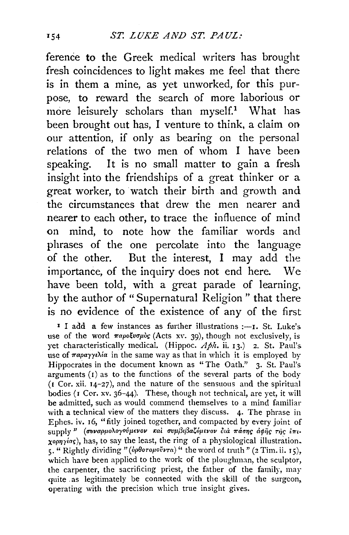ference **to** the Greek medical writers has brought fresh coincidences to light makes me feel that there is in them a mine, as yet unworked, for this purpose, to reward the search of more laborious or more leisurely scholars than  $myself.<sup>1</sup>$  What has. been brought out has, I venture to think, a claim on our attention, if only as bearing on the personal relations of the two men of whom I have been speaking. It is no small matter to gain a fresh insight into the friendships of a great thinker or a great worker, to watch their birth and growth and the circumstances that drew the men nearer and nearer to each other, to trace the influence of mind on mind, to note how the familiar words and phrases of the one percolate into the language of the other. But the interest, I may add the importance, of the inquiry does not end here. We have been told, with a great parade of learning, by the author of "Supernatural Religion " that there is no evidence of the existence of any of the first

**I** I add a few instances as further illustrations :- I. St. Luke's. use of the word  $\pi a \rho o \xi \nu \sigma \mu \delta g$  (Acts xv. 39), though not exclusively, is yet characteristically medical. (Hippoc. Aph. ii. 13.) 2. St. Paul's. use of  $\pi$ *apayye* $\lambda$ *ia* in the same way as that in which it is employed by Hippocrates in the document known as "The Oath." 3. St. Paul's. arguments  $(1)$  as to the functions of the several parts of the body (I Cor. xii. I4-27), and the nature of the sensuous and the spiritual bodies (I Cer. xv. 36-44). These, though not technical, are yet, it will be admitted, such as would commend themselves to a mind familiar with a technical view of the matters they discuss. 4. The phrase in Ephes. iv. I6, "fitly joined together, and compacted by every joint of supply" (συναρμολογούμενον και συμβιβαζόμενον δια πάσης αφής της *επιxopnying*), has, to say the least, the ring of a physiological illustration. 5· " Rightly dividing" ( *op!JoropOvl'Ta)"* the word of truth" (2 Tim. ii. I 5), which have been applied to the work of the ploughman, the sculptor, the carpenter, the sacrificing priest, the father of the family, may quite as legitimately be connected with the skill of the surgeon, operating with the precision which true insight gives.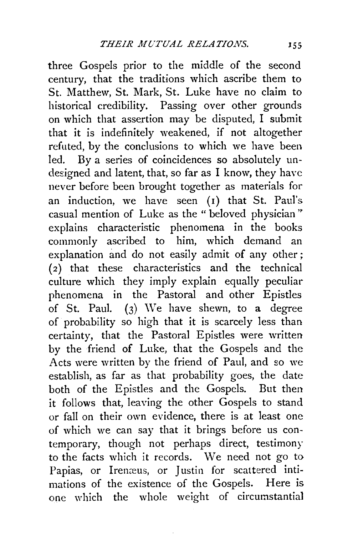three Gospels prior to the middle of the second century, that the traditions which ascribe them to St. Matthew, St. Mark, St. Luke have no claim to historical credibility. Passing over other grounds on which that assertion may be disputed, I submit that it is indefinitely weakened, if not altogether refuted, by the conclusions to which we have been led. By a series of coincidences so absolutely undesigned and latent, that, so far as I know, they have never before been brought together as materials for an induction, we have seen (1) that St. Paul's casual mention of Luke as the " beloved physician" explains characteristic phenomena in the books commonly ascribed to him, which demand an explanation and do not easily admit of any other ;  $(2)$  that these characteristics and the technical culture which they imply explain equally peculiar phenomena in the Pastoral and other Epistles of St. Paul.  $(3)$  We have shewn, to a degree of probability so high that it is scarcely less than certainty, that the Pastoral Epistles were written by the friend of Luke, that the Gospels and the Acts were written by the friend of Paul, and so we establish, as far as that probability goes, the date both of the Epistles and the Gospels. But then it follows that, leaving the other Gospels to stand or fall on their own evidence, there is at least one of which we can say that it brings before us contemporary, though not perhaps direct, testimony to the facts which it records. We need not go to Papias, or Irenæus, or Justin for scattered intimations of the existence of the Gospels. Here is one which the whole weight of circumstantial